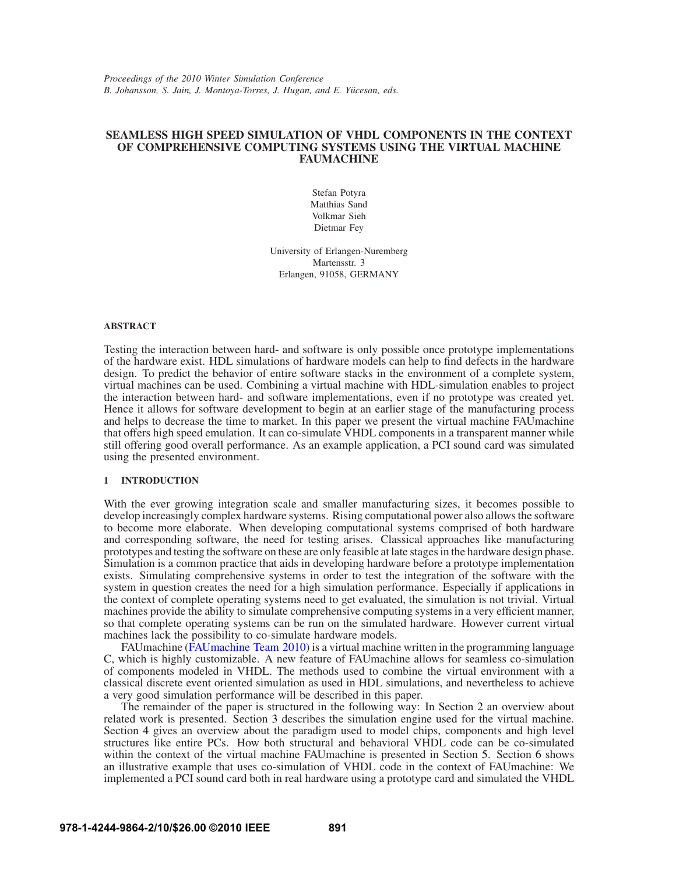# **SEAMLESS HIGH SPEED SIMULATION OF VHDL COMPONENTS IN THE CONTEXT OF COMPREHENSIVE COMPUTING SYSTEMS USING THE VIRTUAL MACHINE FAUMACHINE**

Stefan Potyra Matthias Sand Volkmar Sieh Dietmar Fey

University of Erlangen-Nuremberg Martensstr. 3 Erlangen, 91058, GERMANY

## **ABSTRACT**

Testing the interaction between hard- and software is only possible once prototype implementations of the hardware exist. HDL simulations of hardware models can help to find defects in the hardware design. To predict the behavior of entire software stacks in the environment of a complete system, virtual machines can be used. Combining a virtual machine with HDL-simulation enables to project the interaction between hard- and software implementations, even if no prototype was created yet. Hence it allows for software development to begin at an earlier stage of the manufacturing process and helps to decrease the time to market. In this paper we present the virtual machine FAUmachine that offers high speed emulation. It can co-simulate VHDL components in a transparent manner while still offering good overall performance. As an example application, a PCI sound card was simulated using the presented environment.

# **1 INTRODUCTION**

With the ever growing integration scale and smaller manufacturing sizes, it becomes possible to develop increasingly complex hardware systems. Rising computational power also allows the software to become more elaborate. When developing computational systems comprised of both hardware and corresponding software, the need for testing arises. Classical approaches like manufacturing prototypes and testing the software on these are only feasible at late stages in the hardware design phase. Simulation is a common practice that aids in developing hardware before a prototype implementation exists. Simulating comprehensive systems in order to test the integration of the software with the system in question creates the need for a high simulation performance. Especially if applications in the context of complete operating systems need to get evaluated, the simulation is not trivial. Virtual machines provide the ability to simulate comprehensive computing systems in a very efficient manner, so that complete operating systems can be run on the simulated hardware. However current virtual machines lack the possibility to co-simulate hardware models.

FAUmachine (FAUmachine Team 2010) is a virtual machine written in the programming language C, which is highly customizable. A new feature of FAUmachine allows for seamless co-simulation of components modeled in VHDL. The methods used to combine the virtual environment with a classical discrete event oriented simulation as used in HDL simulations, and nevertheless to achieve a very good simulation performance will be described in this paper.

The remainder of the paper is structured in the following way: In Section 2 an overview about related work is presented. Section 3 describes the simulation engine used for the virtual machine. Section 4 gives an overview about the paradigm used to model chips, components and high level structures like entire PCs. How both structural and behavioral VHDL code can be co-simulated within the context of the virtual machine FAUmachine is presented in Section 5. Section 6 shows an illustrative example that uses co-simulation of VHDL code in the context of FAUmachine: We implemented a PCI sound card both in real hardware using a prototype card and simulated the VHDL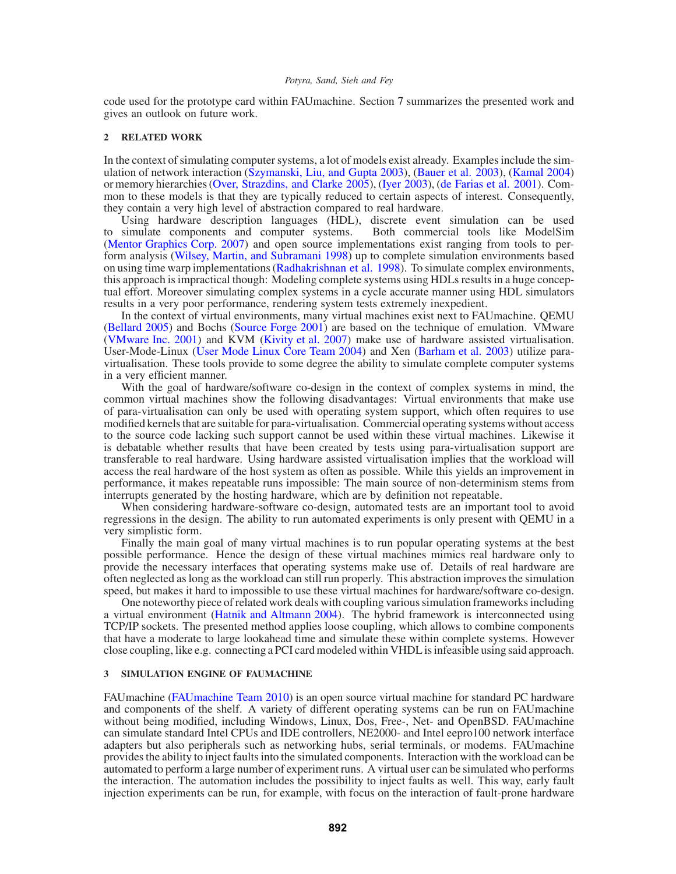code used for the prototype card within FAUmachine. Section 7 summarizes the presented work and gives an outlook on future work.

# **2 RELATED WORK**

In the context of simulating computer systems, a lot of models exist already. Examples include the simulation of network interaction (Szymanski, Liu, and Gupta 2003), (Bauer et al. 2003), (Kamal 2004) or memory hierarchies (Over, Strazdins, and Clarke 2005), (Iyer 2003), (de Farias et al. 2001). Common to these models is that they are typically reduced to certain aspects of interest. Consequently, they contain a very high level of abstraction compared to real hardware.

Using hardware description languages (HDL), discrete event simulation can be used to simulate components and computer systems. Both commercial tools like ModelSim (Mentor Graphics Corp. 2007) and open source implementations exist ranging from tools to perform analysis (Wilsey, Martin, and Subramani 1998) up to complete simulation environments based on using time warp implementations (Radhakrishnan et al. 1998). To simulate complex environments, this approach is impractical though: Modeling complete systems using HDLs results in a huge conceptual effort. Moreover simulating complex systems in a cycle accurate manner using HDL simulators results in a very poor performance, rendering system tests extremely inexpedient.

In the context of virtual environments, many virtual machines exist next to FAUmachine. QEMU (Bellard 2005) and Bochs (Source Forge 2001) are based on the technique of emulation. VMware (VMware Inc. 2001) and KVM (Kivity et al. 2007) make use of hardware assisted virtualisation. User-Mode-Linux (User Mode Linux Core Team 2004) and Xen (Barham et al. 2003) utilize paravirtualisation. These tools provide to some degree the ability to simulate complete computer systems in a very efficient manner.

With the goal of hardware/software co-design in the context of complex systems in mind, the common virtual machines show the following disadvantages: Virtual environments that make use of para-virtualisation can only be used with operating system support, which often requires to use modified kernels that are suitable for para-virtualisation. Commercial operating systems without access to the source code lacking such support cannot be used within these virtual machines. Likewise it is debatable whether results that have been created by tests using para-virtualisation support are transferable to real hardware. Using hardware assisted virtualisation implies that the workload will access the real hardware of the host system as often as possible. While this yields an improvement in performance, it makes repeatable runs impossible: The main source of non-determinism stems from interrupts generated by the hosting hardware, which are by definition not repeatable.

When considering hardware-software co-design, automated tests are an important tool to avoid regressions in the design. The ability to run automated experiments is only present with QEMU in a very simplistic form.

Finally the main goal of many virtual machines is to run popular operating systems at the best possible performance. Hence the design of these virtual machines mimics real hardware only to provide the necessary interfaces that operating systems make use of. Details of real hardware are often neglected as long as the workload can still run properly. This abstraction improves the simulation speed, but makes it hard to impossible to use these virtual machines for hardware/software co-design.

One noteworthy piece of related work deals with coupling various simulation frameworks including a virtual environment (Hatnik and Altmann 2004). The hybrid framework is interconnected using TCP/IP sockets. The presented method applies loose coupling, which allows to combine components that have a moderate to large lookahead time and simulate these within complete systems. However close coupling, like e.g. connecting a PCI card modeled within VHDL is infeasible using said approach.

# **3 SIMULATION ENGINE OF FAUMACHINE**

FAUmachine (FAUmachine Team 2010) is an open source virtual machine for standard PC hardware and components of the shelf. A variety of different operating systems can be run on FAUmachine without being modified, including Windows, Linux, Dos, Free-, Net- and OpenBSD. FAUmachine can simulate standard Intel CPUs and IDE controllers, NE2000- and Intel eepro100 network interface adapters but also peripherals such as networking hubs, serial terminals, or modems. FAUmachine provides the ability to inject faults into the simulated components. Interaction with the workload can be automated to perform a large number of experiment runs. A virtual user can be simulated who performs the interaction. The automation includes the possibility to inject faults as well. This way, early fault injection experiments can be run, for example, with focus on the interaction of fault-prone hardware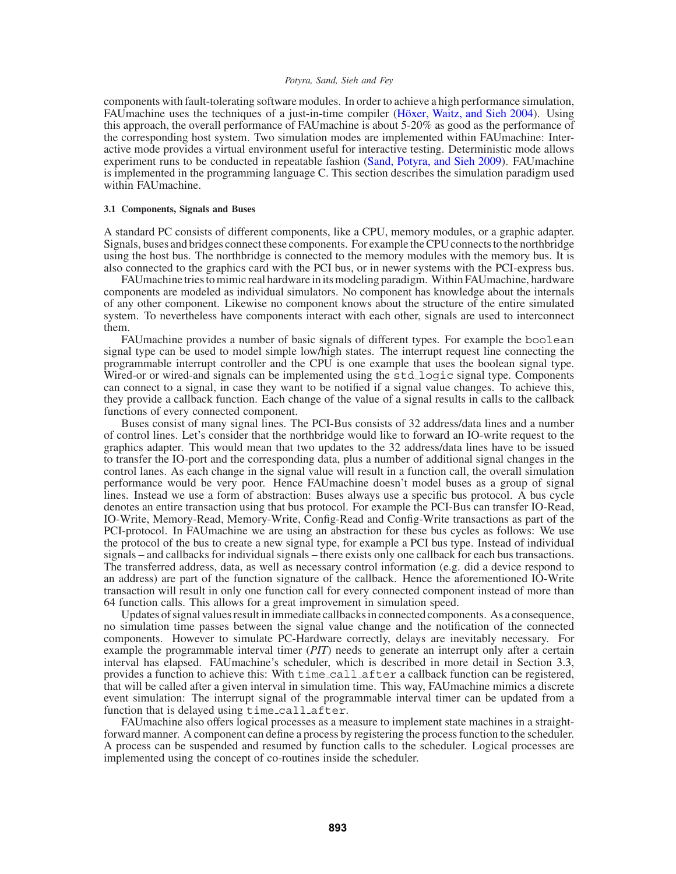components with fault-tolerating software modules. In order to achieve a high performance simulation, FAUmachine uses the techniques of a just-in-time compiler (Höxer, Waitz, and Sieh 2004). Using this approach, the overall performance of FAUmachine is about 5-20% as good as the performance of the corresponding host system. Two simulation modes are implemented within FAUmachine: Interactive mode provides a virtual environment useful for interactive testing. Deterministic mode allows experiment runs to be conducted in repeatable fashion (Sand, Potyra, and Sieh 2009). FAUmachine is implemented in the programming language C. This section describes the simulation paradigm used within FAUmachine.

#### **3.1 Components, Signals and Buses**

A standard PC consists of different components, like a CPU, memory modules, or a graphic adapter. Signals, buses and bridges connect these components. For example the CPU connects to the northbridge using the host bus. The northbridge is connected to the memory modules with the memory bus. It is also connected to the graphics card with the PCI bus, or in newer systems with the PCI-express bus.

FAUmachine tries to mimic real hardware in its modeling paradigm. Within FAUmachine, hardware components are modeled as individual simulators. No component has knowledge about the internals of any other component. Likewise no component knows about the structure of the entire simulated system. To nevertheless have components interact with each other, signals are used to interconnect them.

FAUmachine provides a number of basic signals of different types. For example the boolean signal type can be used to model simple low/high states. The interrupt request line connecting the programmable interrupt controller and the CPU is one example that uses the boolean signal type. Wired-or or wired-and signals can be implemented using the  $std\_loqic$  signal type. Components can connect to a signal, in case they want to be notified if a signal value changes. To achieve this, they provide a callback function. Each change of the value of a signal results in calls to the callback functions of every connected component.

Buses consist of many signal lines. The PCI-Bus consists of 32 address/data lines and a number of control lines. Let's consider that the northbridge would like to forward an IO-write request to the graphics adapter. This would mean that two updates to the 32 address/data lines have to be issued to transfer the IO-port and the corresponding data, plus a number of additional signal changes in the control lanes. As each change in the signal value will result in a function call, the overall simulation performance would be very poor. Hence FAUmachine doesn't model buses as a group of signal lines. Instead we use a form of abstraction: Buses always use a specific bus protocol. A bus cycle denotes an entire transaction using that bus protocol. For example the PCI-Bus can transfer IO-Read, IO-Write, Memory-Read, Memory-Write, Config-Read and Config-Write transactions as part of the PCI-protocol. In FAUmachine we are using an abstraction for these bus cycles as follows: We use the protocol of the bus to create a new signal type, for example a PCI bus type. Instead of individual signals – and callbacks for individual signals – there exists only one callback for each bus transactions. The transferred address, data, as well as necessary control information (e.g. did a device respond to an address) are part of the function signature of the callback. Hence the aforementioned IO-Write transaction will result in only one function call for every connected component instead of more than 64 function calls. This allows for a great improvement in simulation speed.

Updates of signal values result in immediate callbacks in connected components. As a consequence, no simulation time passes between the signal value change and the notification of the connected components. However to simulate PC-Hardware correctly, delays are inevitably necessary. For example the programmable interval timer (*PIT*) needs to generate an interrupt only after a certain interval has elapsed. FAUmachine's scheduler, which is described in more detail in Section 3.3, provides a function to achieve this: With time call after a callback function can be registered, that will be called after a given interval in simulation time. This way, FAUmachine mimics a discrete event simulation: The interrupt signal of the programmable interval timer can be updated from a function that is delayed using time call after.

FAUmachine also offers logical processes as a measure to implement state machines in a straightforward manner. A component can define a process by registering the process function to the scheduler. A process can be suspended and resumed by function calls to the scheduler. Logical processes are implemented using the concept of co-routines inside the scheduler.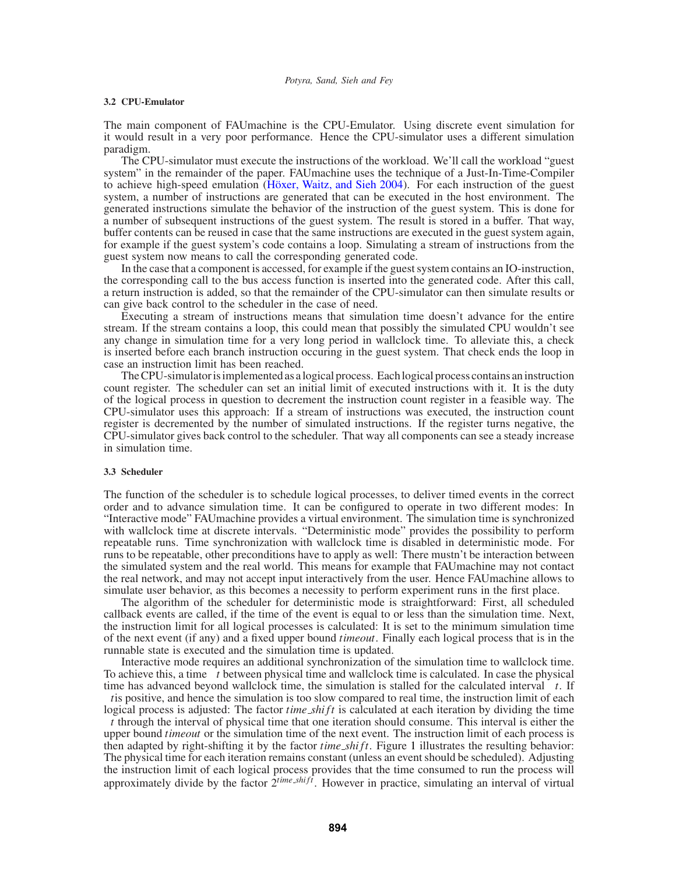# **3.2 CPU-Emulator**

The main component of FAUmachine is the CPU-Emulator. Using discrete event simulation for it would result in a very poor performance. Hence the CPU-simulator uses a different simulation paradigm.

The CPU-simulator must execute the instructions of the workload. We'll call the workload "guest system" in the remainder of the paper. FAUmachine uses the technique of a Just-In-Time-Compiler to achieve high-speed emulation (Höxer, Waitz, and Sieh 2004). For each instruction of the guest system, a number of instructions are generated that can be executed in the host environment. The generated instructions simulate the behavior of the instruction of the guest system. This is done for a number of subsequent instructions of the guest system. The result is stored in a buffer. That way, buffer contents can be reused in case that the same instructions are executed in the guest system again, for example if the guest system's code contains a loop. Simulating a stream of instructions from the guest system now means to call the corresponding generated code.

In the case that a component is accessed, for example if the guest system contains an IO-instruction, the corresponding call to the bus access function is inserted into the generated code. After this call, a return instruction is added, so that the remainder of the CPU-simulator can then simulate results or can give back control to the scheduler in the case of need.

Executing a stream of instructions means that simulation time doesn't advance for the entire stream. If the stream contains a loop, this could mean that possibly the simulated CPU wouldn't see any change in simulation time for a very long period in wallclock time. To alleviate this, a check is inserted before each branch instruction occuring in the guest system. That check ends the loop in case an instruction limit has been reached.

The CPU-simulator is implemented as a logical process. Each logical process contains an instruction count register. The scheduler can set an initial limit of executed instructions with it. It is the duty of the logical process in question to decrement the instruction count register in a feasible way. The CPU-simulator uses this approach: If a stream of instructions was executed, the instruction count register is decremented by the number of simulated instructions. If the register turns negative, the CPU-simulator gives back control to the scheduler. That way all components can see a steady increase in simulation time.

### **3.3 Scheduler**

The function of the scheduler is to schedule logical processes, to deliver timed events in the correct order and to advance simulation time. It can be configured to operate in two different modes: In "Interactive mode" FAUmachine provides a virtual environment. The simulation time is synchronized with wallclock time at discrete intervals. "Deterministic mode" provides the possibility to perform repeatable runs. Time synchronization with wallclock time is disabled in deterministic mode. For runs to be repeatable, other preconditions have to apply as well: There mustn't be interaction between the simulated system and the real world. This means for example that FAUmachine may not contact the real network, and may not accept input interactively from the user. Hence FAUmachine allows to simulate user behavior, as this becomes a necessity to perform experiment runs in the first place.

The algorithm of the scheduler for deterministic mode is straightforward: First, all scheduled callback events are called, if the time of the event is equal to or less than the simulation time. Next, the instruction limit for all logical processes is calculated: It is set to the minimum simulation time of the next event (if any) and a fixed upper bound *timeout*. Finally each logical process that is in the runnable state is executed and the simulation time is updated.

Interactive mode requires an additional synchronization of the simulation time to wallclock time. To achieve this, a time ∆*t* between physical time and wallclock time is calculated. In case the physical time has advanced beyond wallclock time, the simulation is stalled for the calculated interval ∆*t*. If ∆*t*is positive, and hence the simulation is too slow compared to real time, the instruction limit of each logical process is adjusted: The factor *time shi ft* is calculated at each iteration by dividing the time ∆*t* through the interval of physical time that one iteration should consume. This interval is either the upper bound *timeout* or the simulation time of the next event. The instruction limit of each process is then adapted by right-shifting it by the factor *time shi ft*. Figure 1 illustrates the resulting behavior: The physical time for each iteration remains constant (unless an event should be scheduled). Adjusting the instruction limit of each logical process provides that the time consumed to run the process will approximately divide by the factor  $2^{time \textit{shift}}$ . However in practice, simulating an interval of virtual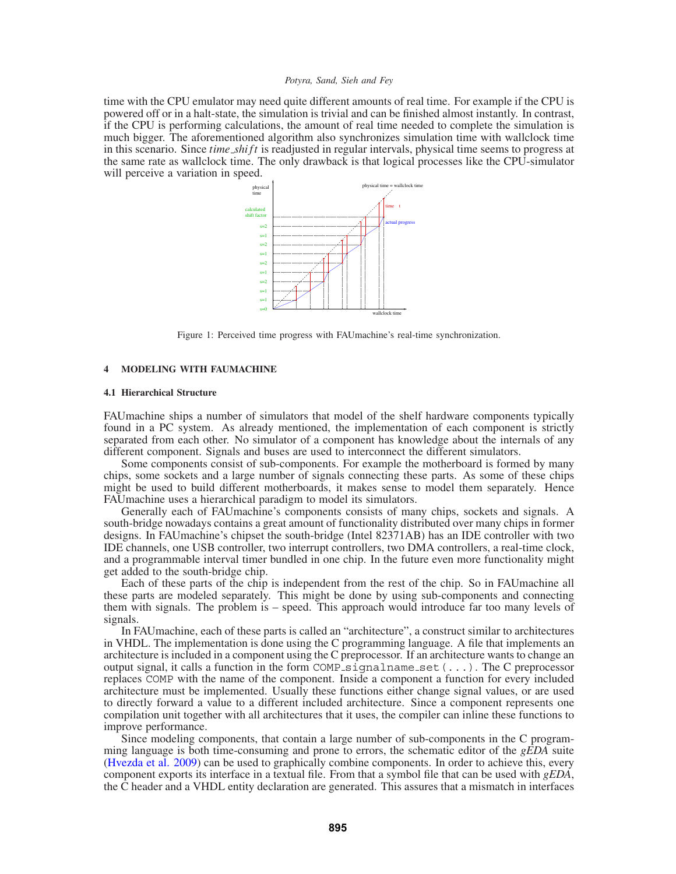time with the CPU emulator may need quite different amounts of real time. For example if the CPU is powered off or in a halt-state, the simulation is trivial and can be finished almost instantly. In contrast, if the CPU is performing calculations, the amount of real time needed to complete the simulation is much bigger. The aforementioned algorithm also synchronizes simulation time with wallclock time in this scenario. Since *time\_shift* is readjusted in regular intervals, physical time seems to progress at the same rate as wallclock time. The only drawback is that logical processes like the CPU-simulator will perceive a variation in speed.



Figure 1: Perceived time progress with FAUmachine's real-time synchronization.

### **4 MODELING WITH FAUMACHINE**

## **4.1 Hierarchical Structure**

FAUmachine ships a number of simulators that model of the shelf hardware components typically found in a PC system. As already mentioned, the implementation of each component is strictly separated from each other. No simulator of a component has knowledge about the internals of any different component. Signals and buses are used to interconnect the different simulators.

Some components consist of sub-components. For example the motherboard is formed by many chips, some sockets and a large number of signals connecting these parts. As some of these chips might be used to build different motherboards, it makes sense to model them separately. Hence FAUmachine uses a hierarchical paradigm to model its simulators.

Generally each of FAUmachine's components consists of many chips, sockets and signals. A south-bridge nowadays contains a great amount of functionality distributed over many chips in former designs. In FAUmachine's chipset the south-bridge (Intel 82371AB) has an IDE controller with two IDE channels, one USB controller, two interrupt controllers, two DMA controllers, a real-time clock, and a programmable interval timer bundled in one chip. In the future even more functionality might get added to the south-bridge chip.

Each of these parts of the chip is independent from the rest of the chip. So in FAUmachine all these parts are modeled separately. This might be done by using sub-components and connecting them with signals. The problem is – speed. This approach would introduce far too many levels of signals.

In FAUmachine, each of these parts is called an "architecture", a construct similar to architectures in VHDL. The implementation is done using the C programming language. A file that implements an architecture is included in a component using the C preprocessor. If an architecture wants to change an output signal, it calls a function in the form  $COMP\_signal$  name set  $(\ldots)$ . The C preprocessor replaces COMP with the name of the component. Inside a component a function for every included architecture must be implemented. Usually these functions either change signal values, or are used to directly forward a value to a different included architecture. Since a component represents one compilation unit together with all architectures that it uses, the compiler can inline these functions to improve performance.

Since modeling components, that contain a large number of sub-components in the C programming language is both time-consuming and prone to errors, the schematic editor of the *gEDA* suite (Hvezda et al. 2009) can be used to graphically combine components. In order to achieve this, every component exports its interface in a textual file. From that a symbol file that can be used with *gEDA*, the C header and a VHDL entity declaration are generated. This assures that a mismatch in interfaces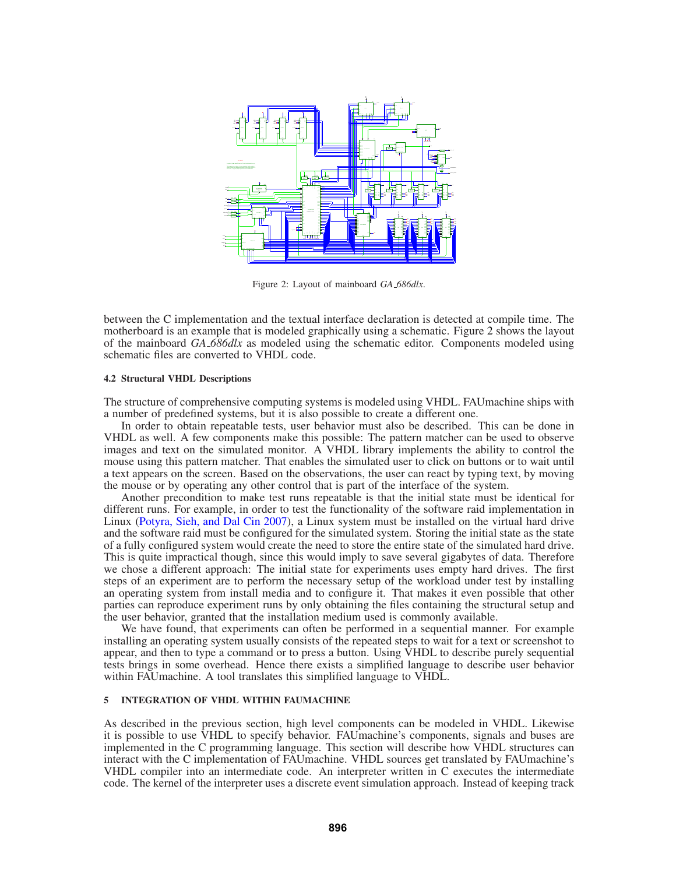

Figure 2: Layout of mainboard *GA 686dlx*.

between the C implementation and the textual interface declaration is detected at compile time. The motherboard is an example that is modeled graphically using a schematic. Figure 2 shows the layout of the mainboard *GA 686dlx* as modeled using the schematic editor. Components modeled using schematic files are converted to VHDL code.

#### **4.2 Structural VHDL Descriptions**

The structure of comprehensive computing systems is modeled using VHDL. FAUmachine ships with a number of predefined systems, but it is also possible to create a different one.

In order to obtain repeatable tests, user behavior must also be described. This can be done in VHDL as well. A few components make this possible: The pattern matcher can be used to observe images and text on the simulated monitor. A VHDL library implements the ability to control the mouse using this pattern matcher. That enables the simulated user to click on buttons or to wait until a text appears on the screen. Based on the observations, the user can react by typing text, by moving the mouse or by operating any other control that is part of the interface of the system.

Another precondition to make test runs repeatable is that the initial state must be identical for different runs. For example, in order to test the functionality of the software raid implementation in Linux (Potyra, Sieh, and Dal Cin 2007), a Linux system must be installed on the virtual hard drive and the software raid must be configured for the simulated system. Storing the initial state as the state of a fully configured system would create the need to store the entire state of the simulated hard drive. This is quite impractical though, since this would imply to save several gigabytes of data. Therefore we chose a different approach: The initial state for experiments uses empty hard drives. The first steps of an experiment are to perform the necessary setup of the workload under test by installing an operating system from install media and to configure it. That makes it even possible that other parties can reproduce experiment runs by only obtaining the files containing the structural setup and the user behavior, granted that the installation medium used is commonly available.

We have found, that experiments can often be performed in a sequential manner. For example installing an operating system usually consists of the repeated steps to wait for a text or screenshot to appear, and then to type a command or to press a button. Using VHDL to describe purely sequential tests brings in some overhead. Hence there exists a simplified language to describe user behavior within FAUmachine. A tool translates this simplified language to VHDL.

### **5 INTEGRATION OF VHDL WITHIN FAUMACHINE**

As described in the previous section, high level components can be modeled in VHDL. Likewise it is possible to use VHDL to specify behavior. FAUmachine's components, signals and buses are implemented in the C programming language. This section will describe how VHDL structures can interact with the C implementation of FAUmachine. VHDL sources get translated by FAUmachine's VHDL compiler into an intermediate code. An interpreter written in C executes the intermediate code. The kernel of the interpreter uses a discrete event simulation approach. Instead of keeping track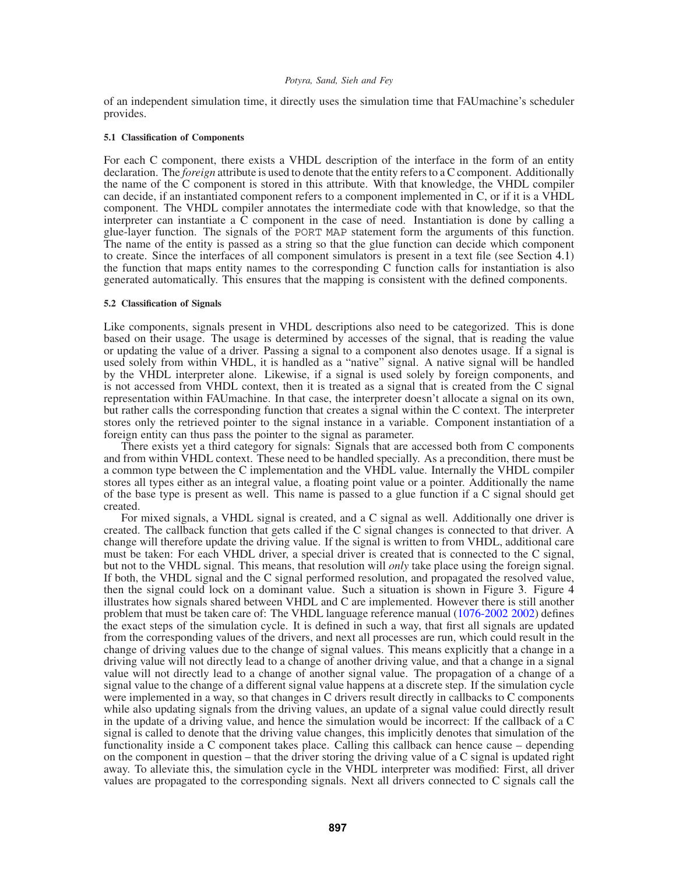of an independent simulation time, it directly uses the simulation time that FAUmachine's scheduler provides.

#### **5.1 Classification of Components**

For each C component, there exists a VHDL description of the interface in the form of an entity declaration. The *foreign* attribute is used to denote that the entity refers to a C component. Additionally the name of the C component is stored in this attribute. With that knowledge, the VHDL compiler can decide, if an instantiated component refers to a component implemented in C, or if it is a VHDL component. The VHDL compiler annotates the intermediate code with that knowledge, so that the interpreter can instantiate a C component in the case of need. Instantiation is done by calling a glue-layer function. The signals of the PORT MAP statement form the arguments of this function. The name of the entity is passed as a string so that the glue function can decide which component to create. Since the interfaces of all component simulators is present in a text file (see Section 4.1) the function that maps entity names to the corresponding C function calls for instantiation is also generated automatically. This ensures that the mapping is consistent with the defined components.

## **5.2 Classification of Signals**

Like components, signals present in VHDL descriptions also need to be categorized. This is done based on their usage. The usage is determined by accesses of the signal, that is reading the value or updating the value of a driver. Passing a signal to a component also denotes usage. If a signal is used solely from within VHDL, it is handled as a "native" signal. A native signal will be handled by the VHDL interpreter alone. Likewise, if a signal is used solely by foreign components, and is not accessed from VHDL context, then it is treated as a signal that is created from the C signal representation within FAUmachine. In that case, the interpreter doesn't allocate a signal on its own, but rather calls the corresponding function that creates a signal within the C context. The interpreter stores only the retrieved pointer to the signal instance in a variable. Component instantiation of a foreign entity can thus pass the pointer to the signal as parameter.

There exists yet a third category for signals: Signals that are accessed both from C components and from within VHDL context. These need to be handled specially. As a precondition, there must be a common type between the C implementation and the VHDL value. Internally the VHDL compiler stores all types either as an integral value, a floating point value or a pointer. Additionally the name of the base type is present as well. This name is passed to a glue function if a C signal should get created.

For mixed signals, a VHDL signal is created, and a C signal as well. Additionally one driver is created. The callback function that gets called if the C signal changes is connected to that driver. A change will therefore update the driving value. If the signal is written to from VHDL, additional care must be taken: For each VHDL driver, a special driver is created that is connected to the C signal, but not to the VHDL signal. This means, that resolution will *only* take place using the foreign signal. If both, the VHDL signal and the C signal performed resolution, and propagated the resolved value, then the signal could lock on a dominant value. Such a situation is shown in Figure 3. Figure 4 illustrates how signals shared between VHDL and C are implemented. However there is still another problem that must be taken care of: The VHDL language reference manual (1076-2002 2002) defines the exact steps of the simulation cycle. It is defined in such a way, that first all signals are updated from the corresponding values of the drivers, and next all processes are run, which could result in the change of driving values due to the change of signal values. This means explicitly that a change in a driving value will not directly lead to a change of another driving value, and that a change in a signal value will not directly lead to a change of another signal value. The propagation of a change of a signal value to the change of a different signal value happens at a discrete step. If the simulation cycle were implemented in a way, so that changes in C drivers result directly in callbacks to C components while also updating signals from the driving values, an update of a signal value could directly result in the update of a driving value, and hence the simulation would be incorrect: If the callback of a C signal is called to denote that the driving value changes, this implicitly denotes that simulation of the functionality inside a C component takes place. Calling this callback can hence cause – depending on the component in question – that the driver storing the driving value of a C signal is updated right away. To alleviate this, the simulation cycle in the VHDL interpreter was modified: First, all driver values are propagated to the corresponding signals. Next all drivers connected to C signals call the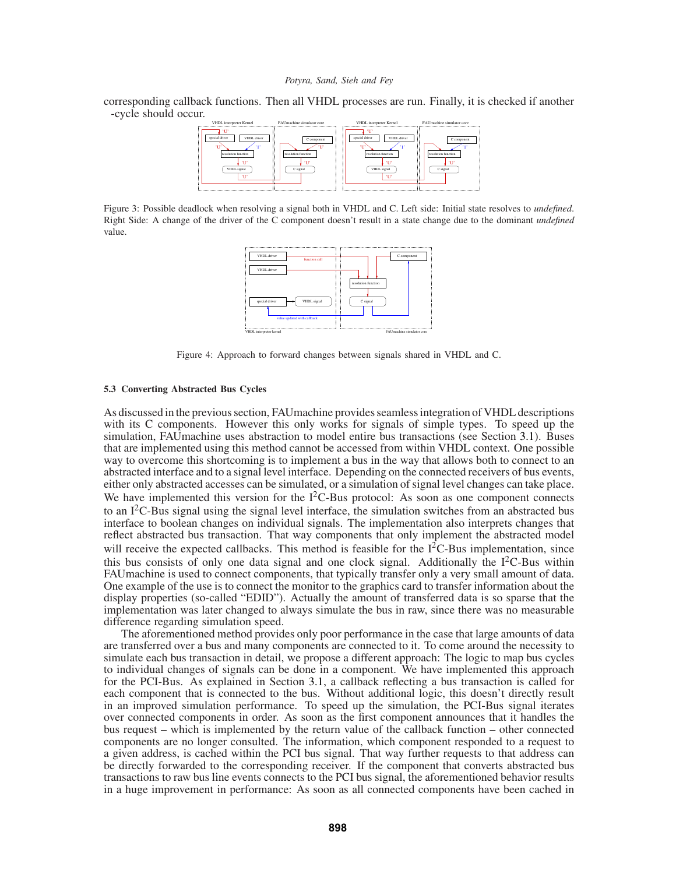corresponding callback functions. Then all VHDL processes are run. Finally, it is checked if another  $\delta$ -cycle should occur.



Figure 3: Possible deadlock when resolving a signal both in VHDL and C. Left side: Initial state resolves to *undefined*. Right Side: A change of the driver of the C component doesn't result in a state change due to the dominant *undefined* value.



Figure 4: Approach to forward changes between signals shared in VHDL and C.

# **5.3 Converting Abstracted Bus Cycles**

As discussed in the previous section, FAUmachine provides seamless integration of VHDL descriptions with its C components. However this only works for signals of simple types. To speed up the simulation, FAUmachine uses abstraction to model entire bus transactions (see Section 3.1). Buses that are implemented using this method cannot be accessed from within VHDL context. One possible way to overcome this shortcoming is to implement a bus in the way that allows both to connect to an abstracted interface and to a signal level interface. Depending on the connected receivers of bus events, either only abstracted accesses can be simulated, or a simulation of signal level changes can take place. We have implemented this version for the  $I<sup>2</sup>C-Bus$  protocol: As soon as one component connects to an  $I<sup>2</sup>C-Bus$  signal using the signal level interface, the simulation switches from an abstracted bus interface to boolean changes on individual signals. The implementation also interprets changes that reflect abstracted bus transaction. That way components that only implement the abstracted model will receive the expected callbacks. This method is feasible for the  $I<sup>2</sup>C-Bus$  implementation, since this bus consists of only one data signal and one clock signal. Additionally the  $I<sup>2</sup>C-Bus$  within FAUmachine is used to connect components, that typically transfer only a very small amount of data. One example of the use is to connect the monitor to the graphics card to transfer information about the display properties (so-called "EDID"). Actually the amount of transferred data is so sparse that the implementation was later changed to always simulate the bus in raw, since there was no measurable difference regarding simulation speed.

The aforementioned method provides only poor performance in the case that large amounts of data are transferred over a bus and many components are connected to it. To come around the necessity to simulate each bus transaction in detail, we propose a different approach: The logic to map bus cycles to individual changes of signals can be done in a component. We have implemented this approach for the PCI-Bus. As explained in Section 3.1, a callback reflecting a bus transaction is called for each component that is connected to the bus. Without additional logic, this doesn't directly result in an improved simulation performance. To speed up the simulation, the PCI-Bus signal iterates over connected components in order. As soon as the first component announces that it handles the bus request – which is implemented by the return value of the callback function – other connected components are no longer consulted. The information, which component responded to a request to a given address, is cached within the PCI bus signal. That way further requests to that address can be directly forwarded to the corresponding receiver. If the component that converts abstracted bus transactions to raw bus line events connects to the PCI bus signal, the aforementioned behavior results in a huge improvement in performance: As soon as all connected components have been cached in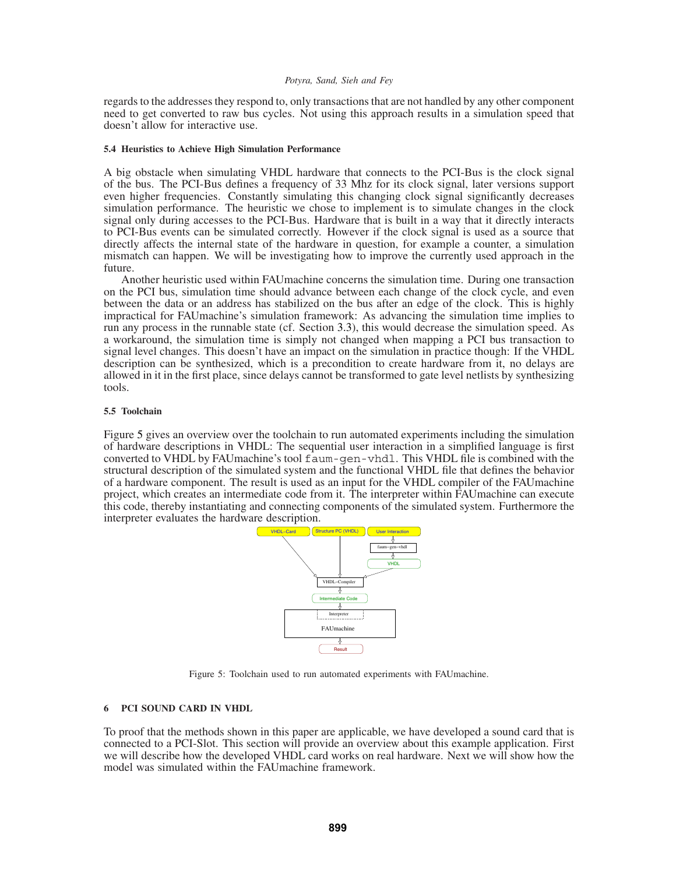regards to the addresses they respond to, only transactions that are not handled by any other component need to get converted to raw bus cycles. Not using this approach results in a simulation speed that doesn't allow for interactive use.

### **5.4 Heuristics to Achieve High Simulation Performance**

A big obstacle when simulating VHDL hardware that connects to the PCI-Bus is the clock signal of the bus. The PCI-Bus defines a frequency of 33 Mhz for its clock signal, later versions support even higher frequencies. Constantly simulating this changing clock signal significantly decreases simulation performance. The heuristic we chose to implement is to simulate changes in the clock signal only during accesses to the PCI-Bus. Hardware that is built in a way that it directly interacts to PCI-Bus events can be simulated correctly. However if the clock signal is used as a source that directly affects the internal state of the hardware in question, for example a counter, a simulation mismatch can happen. We will be investigating how to improve the currently used approach in the future.

Another heuristic used within FAUmachine concerns the simulation time. During one transaction on the PCI bus, simulation time should advance between each change of the clock cycle, and even between the data or an address has stabilized on the bus after an edge of the clock. This is highly impractical for FAUmachine's simulation framework: As advancing the simulation time implies to run any process in the runnable state (cf. Section 3.3), this would decrease the simulation speed. As a workaround, the simulation time is simply not changed when mapping a PCI bus transaction to signal level changes. This doesn't have an impact on the simulation in practice though: If the VHDL description can be synthesized, which is a precondition to create hardware from it, no delays are allowed in it in the first place, since delays cannot be transformed to gate level netlists by synthesizing tools.

## **5.5 Toolchain**

Figure 5 gives an overview over the toolchain to run automated experiments including the simulation of hardware descriptions in VHDL: The sequential user interaction in a simplified language is first converted to VHDL by FAUmachine's tool faum-gen-vhdl. This VHDL file is combined with the structural description of the simulated system and the functional VHDL file that defines the behavior of a hardware component. The result is used as an input for the VHDL compiler of the FAUmachine project, which creates an intermediate code from it. The interpreter within FAUmachine can execute this code, thereby instantiating and connecting components of the simulated system. Furthermore the interpreter evaluates the hardware description.



Figure 5: Toolchain used to run automated experiments with FAUmachine.

## **6 PCI SOUND CARD IN VHDL**

To proof that the methods shown in this paper are applicable, we have developed a sound card that is connected to a PCI-Slot. This section will provide an overview about this example application. First we will describe how the developed VHDL card works on real hardware. Next we will show how the model was simulated within the FAUmachine framework.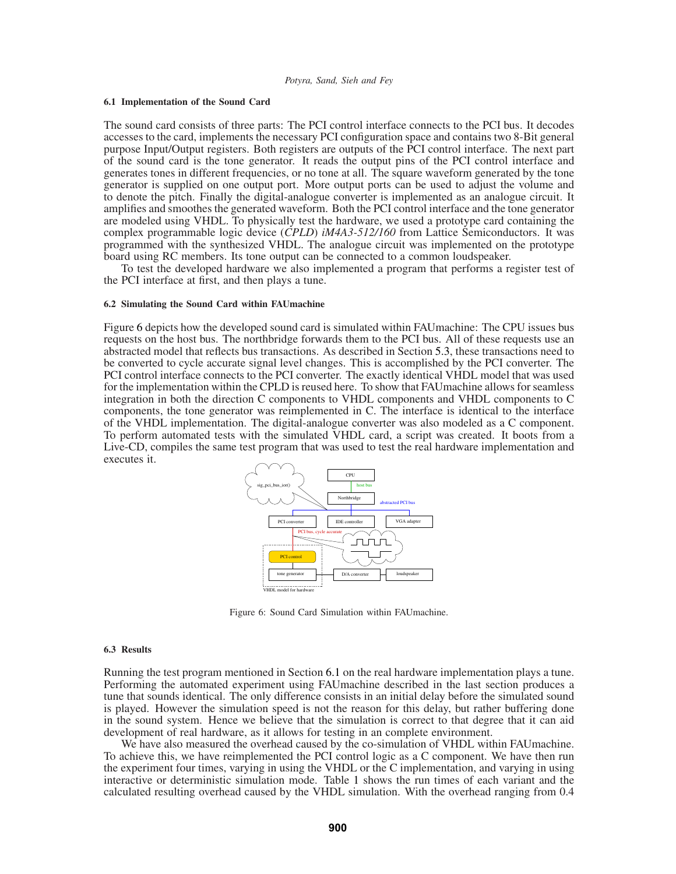# **6.1 Implementation of the Sound Card**

The sound card consists of three parts: The PCI control interface connects to the PCI bus. It decodes accesses to the card, implements the necessary PCI configuration space and contains two 8-Bit general purpose Input/Output registers. Both registers are outputs of the PCI control interface. The next part of the sound card is the tone generator. It reads the output pins of the PCI control interface and generates tones in different frequencies, or no tone at all. The square waveform generated by the tone generator is supplied on one output port. More output ports can be used to adjust the volume and to denote the pitch. Finally the digital-analogue converter is implemented as an analogue circuit. It amplifies and smoothes the generated waveform. Both the PCI control interface and the tone generator are modeled using VHDL. To physically test the hardware, we used a prototype card containing the complex programmable logic device (*CPLD*) *iM4A3-512/160* from Lattice Semiconductors. It was programmed with the synthesized VHDL. The analogue circuit was implemented on the prototype board using RC members. Its tone output can be connected to a common loudspeaker.

To test the developed hardware we also implemented a program that performs a register test of the PCI interface at first, and then plays a tune.

#### **6.2 Simulating the Sound Card within FAUmachine**

Figure 6 depicts how the developed sound card is simulated within FAUmachine: The CPU issues bus requests on the host bus. The northbridge forwards them to the PCI bus. All of these requests use an abstracted model that reflects bus transactions. As described in Section 5.3, these transactions need to be converted to cycle accurate signal level changes. This is accomplished by the PCI converter. The PCI control interface connects to the PCI converter. The exactly identical VHDL model that was used for the implementation within the CPLD is reused here. To show that FAUmachine allows for seamless integration in both the direction C components to VHDL components and VHDL components to C components, the tone generator was reimplemented in C. The interface is identical to the interface of the VHDL implementation. The digital-analogue converter was also modeled as a C component. To perform automated tests with the simulated VHDL card, a script was created. It boots from a Live-CD, compiles the same test program that was used to test the real hardware implementation and executes it.



Figure 6: Sound Card Simulation within FAUmachine.

#### **6.3 Results**

Running the test program mentioned in Section 6.1 on the real hardware implementation plays a tune. Performing the automated experiment using FAUmachine described in the last section produces a tune that sounds identical. The only difference consists in an initial delay before the simulated sound is played. However the simulation speed is not the reason for this delay, but rather buffering done in the sound system. Hence we believe that the simulation is correct to that degree that it can aid development of real hardware, as it allows for testing in an complete environment.

We have also measured the overhead caused by the co-simulation of VHDL within FAUmachine. To achieve this, we have reimplemented the PCI control logic as a C component. We have then run the experiment four times, varying in using the VHDL or the C implementation, and varying in using interactive or deterministic simulation mode. Table 1 shows the run times of each variant and the calculated resulting overhead caused by the VHDL simulation. With the overhead ranging from 0.4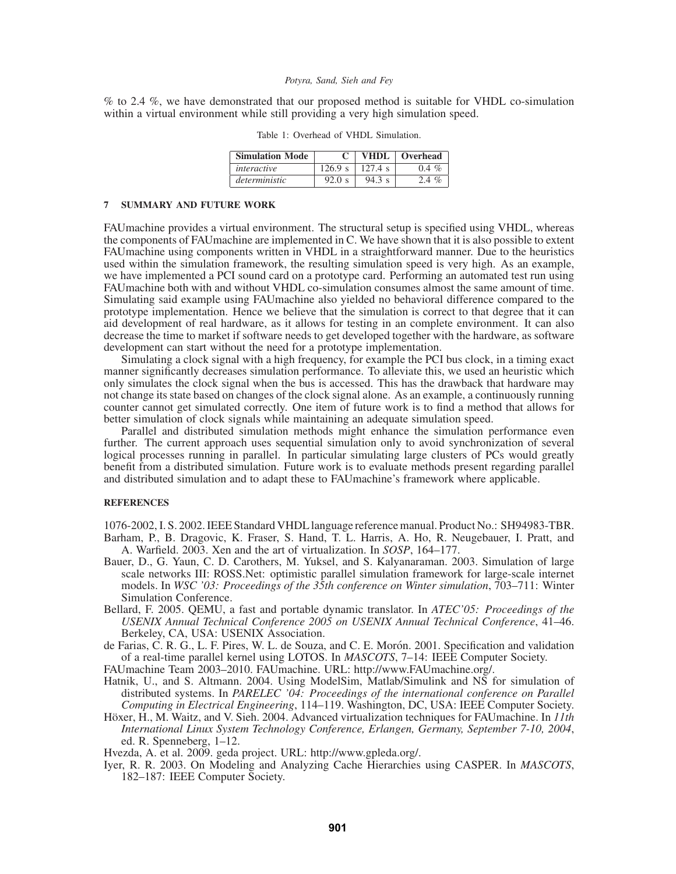% to 2.4 %, we have demonstrated that our proposed method is suitable for VHDL co-simulation within a virtual environment while still providing a very high simulation speed.

| <b>Simulation Mode</b> |         |                  | VHDL   Overhead |
|------------------------|---------|------------------|-----------------|
| <i>interactive</i>     | 126.9 s | 127.4 s          | $0.4\%$         |
| deterministic          | 92.0 s  | $94.3 \text{ s}$ | $2.4~\%$        |

### **7 SUMMARY AND FUTURE WORK**

FAUmachine provides a virtual environment. The structural setup is specified using VHDL, whereas the components of FAUmachine are implemented in C. We have shown that it is also possible to extent FAUmachine using components written in VHDL in a straightforward manner. Due to the heuristics used within the simulation framework, the resulting simulation speed is very high. As an example, we have implemented a PCI sound card on a prototype card. Performing an automated test run using FAUmachine both with and without VHDL co-simulation consumes almost the same amount of time. Simulating said example using FAUmachine also yielded no behavioral difference compared to the prototype implementation. Hence we believe that the simulation is correct to that degree that it can aid development of real hardware, as it allows for testing in an complete environment. It can also decrease the time to market if software needs to get developed together with the hardware, as software development can start without the need for a prototype implementation.

Simulating a clock signal with a high frequency, for example the PCI bus clock, in a timing exact manner significantly decreases simulation performance. To alleviate this, we used an heuristic which only simulates the clock signal when the bus is accessed. This has the drawback that hardware may not change its state based on changes of the clock signal alone. As an example, a continuously running counter cannot get simulated correctly. One item of future work is to find a method that allows for better simulation of clock signals while maintaining an adequate simulation speed.

Parallel and distributed simulation methods might enhance the simulation performance even further. The current approach uses sequential simulation only to avoid synchronization of several logical processes running in parallel. In particular simulating large clusters of PCs would greatly benefit from a distributed simulation. Future work is to evaluate methods present regarding parallel and distributed simulation and to adapt these to FAUmachine's framework where applicable.

### **REFERENCES**

1076-2002, I. S. 2002. IEEE Standard VHDL language reference manual. Product No.: SH94983-TBR. Barham, P., B. Dragovic, K. Fraser, S. Hand, T. L. Harris, A. Ho, R. Neugebauer, I. Pratt, and A. Warfield. 2003. Xen and the art of virtualization. In *SOSP*, 164–177.

- Bauer, D., G. Yaun, C. D. Carothers, M. Yuksel, and S. Kalyanaraman. 2003. Simulation of large scale networks III: ROSS.Net: optimistic parallel simulation framework for large-scale internet models. In *WSC '03: Proceedings of the 35th conference on Winter simulation*, 703–711: Winter Simulation Conference.
- Bellard, F. 2005. QEMU, a fast and portable dynamic translator. In *ATEC'05: Proceedings of the USENIX Annual Technical Conference 2005 on USENIX Annual Technical Conference*, 41–46. Berkeley, CA, USA: USENIX Association.

de Farias, C. R. G., L. F. Pires, W. L. de Souza, and C. E. Morón. 2001. Specification and validation of a real-time parallel kernel using LOTOS. In *MASCOTS*, 7–14: IEEE Computer Society.

FAUmachine Team 2003–2010. FAUmachine. URL: http://www.FAUmachine.org/.

- Hatnik, U., and S. Altmann. 2004. Using ModelSim, Matlab/Simulink and NS for simulation of distributed systems. In *PARELEC '04: Proceedings of the international conference on Parallel Computing in Electrical Engineering*, 114–119. Washington, DC, USA: IEEE Computer Society.
- Höxer, H., M. Waitz, and V. Sieh. 2004. Advanced virtualization techniques for FAUmachine. In 11th *International Linux System Technology Conference, Erlangen, Germany, September 7-10, 2004*, ed. R. Spenneberg, 1–12.

Hvezda, A. et al. 2009. geda project. URL: http://www.gpleda.org/.

Iyer, R. R. 2003. On Modeling and Analyzing Cache Hierarchies using CASPER. In *MASCOTS*, 182–187: IEEE Computer Society.